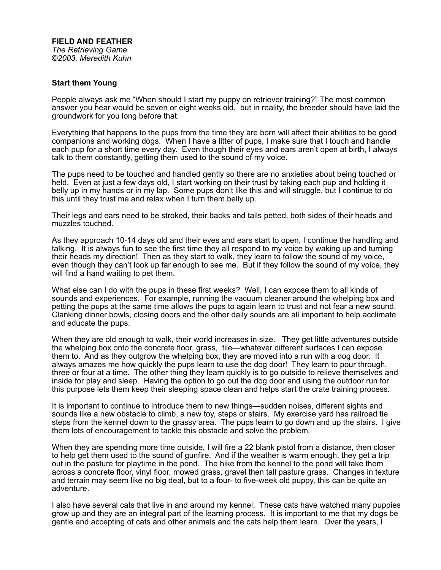## **FIELD AND FEATHER**

*The Retrieving Game ©2003, Meredith Kuhn*

## **Start them Young**

People always ask me "When should I start my puppy on retriever training?" The most common answer you hear would be seven or eight weeks old, but in reality, the breeder should have laid the groundwork for you long before that.

Everything that happens to the pups from the time they are born will affect their abilities to be good companions and working dogs. When I have a litter of pups, I make sure that I touch and handle each pup for a short time every day. Even though their eyes and ears aren't open at birth, I always talk to them constantly, getting them used to the sound of my voice.

The pups need to be touched and handled gently so there are no anxieties about being touched or held. Even at just a few days old, I start working on their trust by taking each pup and holding it belly up in my hands or in my lap. Some pups don't like this and will struggle, but I continue to do this until they trust me and relax when I turn them belly up.

Their legs and ears need to be stroked, their backs and tails petted, both sides of their heads and muzzles touched.

As they approach 10-14 days old and their eyes and ears start to open, I continue the handling and talking. It is always fun to see the first time they all respond to my voice by waking up and turning their heads my direction! Then as they start to walk, they learn to follow the sound of my voice, even though they can't look up far enough to see me. But if they follow the sound of my voice, they will find a hand waiting to pet them.

What else can I do with the pups in these first weeks? Well, I can expose them to all kinds of sounds and experiences. For example, running the vacuum cleaner around the whelping box and petting the pups at the same time allows the pups to again learn to trust and not fear a new sound. Clanking dinner bowls, closing doors and the other daily sounds are all important to help acclimate and educate the pups.

When they are old enough to walk, their world increases in size. They get little adventures outside the whelping box onto the concrete floor, grass, tile—whatever different surfaces I can expose them to. And as they outgrow the whelping box, they are moved into a run with a dog door. It always amazes me how quickly the pups learn to use the dog door! They learn to pour through, three or four at a time. The other thing they learn quickly is to go outside to relieve themselves and inside for play and sleep. Having the option to go out the dog door and using the outdoor run for this purpose lets them keep their sleeping space clean and helps start the crate training process.

It is important to continue to introduce them to new things—sudden noises, different sights and sounds like a new obstacle to climb, a new toy, steps or stairs. My exercise yard has railroad tie steps from the kennel down to the grassy area. The pups learn to go down and up the stairs. I give them lots of encouragement to tackle this obstacle and solve the problem.

When they are spending more time outside, I will fire a 22 blank pistol from a distance, then closer to help get them used to the sound of gunfire. And if the weather is warm enough, they get a trip out in the pasture for playtime in the pond. The hike from the kennel to the pond will take them across a concrete floor, vinyl floor, mowed grass, gravel then tall pasture grass. Changes in texture and terrain may seem like no big deal, but to a four- to five-week old puppy, this can be quite an adventure.

I also have several cats that live in and around my kennel. These cats have watched many puppies grow up and they are an integral part of the learning process. It is important to me that my dogs be gentle and accepting of cats and other animals and the cats help them learn. Over the years, I